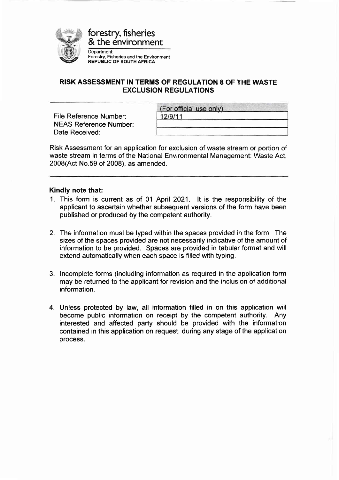

## RISK ASSESSMENT !N TERMS OF REGULATION 8 OF THE WASTE EXCLUSION REGULATIONS

File Reference Number: NEAS Reference Number: Date Received:

| (For official use only) |  |
|-------------------------|--|
| 12/9/11                 |  |
|                         |  |

Risk Assessment for an application for exclusion of waste stream or portion of waste stream in terms of the National Environmental Management: Waste Act, 2008(Act No.59 of 2008), as amended.

#### Kindly note that:

- 1. This form is current as of 01 April 2021. It is the responsibility of the applicant to ascertain whether subsequent versions of the form have been published or produced by the competent authority.
- 2. The information must be typed within the spaces provided in the form. The sizes of the spaces provided are not necessarily indicative of the amount of information to be provided. Spaces are provided in tabular format and will extend automatically when each space is filled with typing.
- 3. lncomplete forms (including information as required in the application form may be returned to the applicant for revision and the inclusion of additional information.
- 4. Unless protected by law, all information filled in on this application will become public information on receipt by the competent authority. Any interested and affected party should be provided with the information contained in this application on request, during any stage of the application process.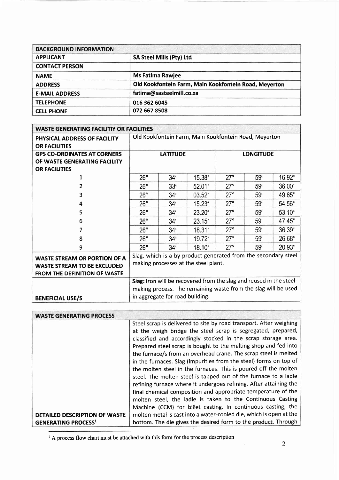| <b>BACKGROUND INFORMATION</b> |                                                       |
|-------------------------------|-------------------------------------------------------|
| <b>APPLICANT</b>              | SA Steel Mills (Pty) Ltd                              |
| <b>CONTACT PERSON</b>         |                                                       |
| <b>NAME</b>                   | <b>Ms Fatima Rawjee</b>                               |
| <b>ADDRESS</b>                | Old Kookfontein Farm, Main Kookfontein Road, Meyerton |
| <b>E-MAIL ADDRESS</b>         | fatima@sasteelmill.co.za                              |
| <b>TELEPHONE</b>              | 016 362 6045                                          |
| <b>CELL PHONE</b>             | 072 667 8508                                          |

| <b>WASTE GENERATING FACILITIY OR FACILITIES</b>      |                                                                     |                 |           |            |                  |        |
|------------------------------------------------------|---------------------------------------------------------------------|-----------------|-----------|------------|------------------|--------|
| PHYSICAL ADDRESS OF FACILITY<br><b>OR FACILITIES</b> | Old Kookfontein Farm, Main Kookfontein Road, Meyerton               |                 |           |            |                  |        |
| <b>GPS CO-ORDINATES AT CORNERS</b>                   |                                                                     | <b>LATITUDE</b> |           |            | <b>LONGITUDE</b> |        |
| OF WASTE GENERATING FACILITY                         |                                                                     |                 |           |            |                  |        |
| <b>OR FACILITIES</b>                                 |                                                                     |                 |           |            |                  |        |
| 1                                                    | 26°                                                                 | 34 <sup>°</sup> | 15.38"    | 27°        | 59 <sup>°</sup>  | 16.92" |
|                                                      | 26°                                                                 | $33^{\circ}$    | 52.01"    | $27^\circ$ | 59 <sup>th</sup> | 36.00" |
| 3                                                    | $26^{\circ}$                                                        | $34^{\circ}$    | 03.52"    | $27^\circ$ | 59 <sup>t</sup>  | 49.65" |
| 4                                                    | 26°                                                                 | 34 <sup>1</sup> | 15.23"    | 27°        | 59 <sup>t</sup>  | 54.56" |
| 5                                                    | 26°                                                                 | 34 <sup>′</sup> | 23.20"    | $27^\circ$ | 59 <sup>°</sup>  | 53.10" |
| 6                                                    | 26°                                                                 | 34'             | $23.15$ " | $27^\circ$ | 59 <sup>′</sup>  | 47.45" |
|                                                      | 26°                                                                 | $34^{\circ}$    | 18.31"    | $27^\circ$ | 59 <sup>°</sup>  | 36.39  |
| 8                                                    | $26^\circ$                                                          | $34^{t}$        | 19.72"    | $27^\circ$ | 59 <sup>°</sup>  | 26.68" |
| 9                                                    | $26^\circ$                                                          | $34^{i}$        | 18.10"    | $27^\circ$ | 59 <sup>°</sup>  | 20.93" |
| <b>WASTE STREAM OR PORTION OF A</b>                  | Slag, which is a by-product generated from the secondary steel      |                 |           |            |                  |        |
| <b>WASTE STREAM TO BE EXCLUDED</b>                   | making processes at the steel plant.                                |                 |           |            |                  |        |
| <b>FROM THE DEFINITION OF WASTE</b>                  |                                                                     |                 |           |            |                  |        |
|                                                      | Slag: Iron will be recovered from the slag and reused in the steel- |                 |           |            |                  |        |
|                                                      | making process. The remaining waste from the slag will be used      |                 |           |            |                  |        |
| <b>BENEFICIAL USE/S</b>                              | in aggregate for road building.                                     |                 |           |            |                  |        |

| <b>WASTE GENERATING PROCESS</b> |                                                                    |
|---------------------------------|--------------------------------------------------------------------|
|                                 | Steel scrap is delivered to site by road transport. After weighing |
|                                 | at the weigh bridge the steel scrap is segregated, prepared,       |
|                                 | classified and accordingly stocked in the scrap storage area.      |
|                                 | Prepared steel scrap is bought to the melting shop and fed into    |
|                                 | the furnace/s from an overhead crane. The scrap steel is melted    |
|                                 | in the furnaces. Slag (impurities from the steel) forms on top of  |
|                                 | the molten steel in the furnaces. This is poured off the molten    |
|                                 | steel. The molten steel is tapped out of the furnace to a ladle    |
|                                 | refining furnace where it undergoes refining. After attaining the  |
|                                 | final chemical composition and appropriate temperature of the      |
|                                 | molten steel, the ladle is taken to the Continuous Casting         |
|                                 | Machine (CCM) for billet casting. In continuous casting, the       |
| DETAILED DESCRIPTION OF WASTE   | molten metal is cast into a water-cooled die, which is open at the |
| <b>GENERATING PROCESS1</b>      | bottom. The die gives the desired form to the product. Through     |

<sup>1</sup> A process flow chart must be attached with this form for the process description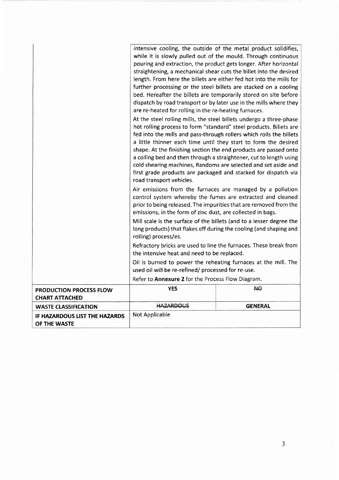|                                                  | intensive cooling, the outside of the metal product solidifies,<br>while it is slowly pulled out of the mould. Through continuous<br>pouring and extraction, the product gets longer. After horizontal<br>straightening, a mechanical shear cuts the billet into the desired<br>length. From here the billets are either fed hot into the mills for<br>further processing or the steel billets are stacked on a cooling<br>bed. Hereafter the billets are temporarily stored on site before<br>dispatch by road transport or by later use in the mills where they<br>are re-heated for rolling in the re-heating furnaces.<br>At the steel rolling mills, the steel billets undergo a three-phase<br>hot rolling process to form "standard" steel products. Billets are<br>fed into the mills and pass-through rollers which rolls the billets<br>a little thinner each time until they start to form the desired<br>shape. At the finishing section the end products are passed onto<br>a colling bed and then through a straightener, cut to length using<br>cold shearing machines, Randoms are selected and set aside and<br>first grade products are packaged and stacked for dispatch via<br>road transport vehicles. |                |
|--------------------------------------------------|-----------------------------------------------------------------------------------------------------------------------------------------------------------------------------------------------------------------------------------------------------------------------------------------------------------------------------------------------------------------------------------------------------------------------------------------------------------------------------------------------------------------------------------------------------------------------------------------------------------------------------------------------------------------------------------------------------------------------------------------------------------------------------------------------------------------------------------------------------------------------------------------------------------------------------------------------------------------------------------------------------------------------------------------------------------------------------------------------------------------------------------------------------------------------------------------------------------------------------|----------------|
|                                                  | Air emissions from the furnaces are managed by a pollution<br>control system whereby the fumes are extracted and cleaned<br>prior to being released. The impurities that are removed from the<br>emissions, in the form of zinc dust, are collected in bags.                                                                                                                                                                                                                                                                                                                                                                                                                                                                                                                                                                                                                                                                                                                                                                                                                                                                                                                                                                |                |
|                                                  | Mill scale is the surface of the billets (and to a lesser degree the<br>long products) that flakes off during the cooling (and shaping and<br>rolling) process/es.                                                                                                                                                                                                                                                                                                                                                                                                                                                                                                                                                                                                                                                                                                                                                                                                                                                                                                                                                                                                                                                          |                |
|                                                  | Refractory bricks are used to line the furnaces. These break from<br>the intensive heat and need to be replaced.                                                                                                                                                                                                                                                                                                                                                                                                                                                                                                                                                                                                                                                                                                                                                                                                                                                                                                                                                                                                                                                                                                            |                |
|                                                  | Oil is burned to power the reheating furnaces at the mill. The<br>used oil will be re-refined/ processed for re-use.                                                                                                                                                                                                                                                                                                                                                                                                                                                                                                                                                                                                                                                                                                                                                                                                                                                                                                                                                                                                                                                                                                        |                |
|                                                  | Refer to Annexure 2 for the Process Flow Diagram.                                                                                                                                                                                                                                                                                                                                                                                                                                                                                                                                                                                                                                                                                                                                                                                                                                                                                                                                                                                                                                                                                                                                                                           |                |
| PRODUCTION PROCESS FLOW<br><b>CHART ATTACHED</b> | <b>YES</b>                                                                                                                                                                                                                                                                                                                                                                                                                                                                                                                                                                                                                                                                                                                                                                                                                                                                                                                                                                                                                                                                                                                                                                                                                  | АO             |
| <b>WASTE CLASSIFICATION</b>                      | <b>HAZARDOUS</b>                                                                                                                                                                                                                                                                                                                                                                                                                                                                                                                                                                                                                                                                                                                                                                                                                                                                                                                                                                                                                                                                                                                                                                                                            | <b>GENERAL</b> |
| IF HAZARDOUS LIST THE HAZARDS<br>OF THE WASTE    | Not Applicable                                                                                                                                                                                                                                                                                                                                                                                                                                                                                                                                                                                                                                                                                                                                                                                                                                                                                                                                                                                                                                                                                                                                                                                                              |                |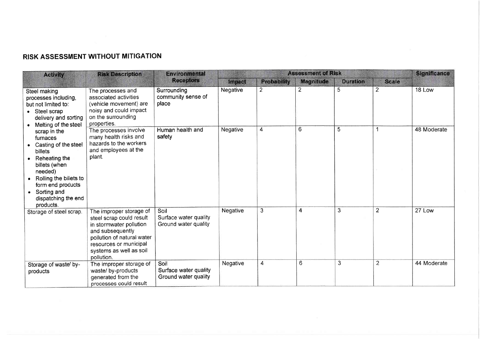# RISK ASSESSMENT WITHOUT MITIGATION

| <b>Activity</b>                                                                                                                                                                                         | <b>Risk Description</b>                                                                                                                                                                             | <b>Environmental</b>                                  |               |             | <b>Assessment of Risk</b> |                 |                | <b>Significance</b> |
|---------------------------------------------------------------------------------------------------------------------------------------------------------------------------------------------------------|-----------------------------------------------------------------------------------------------------------------------------------------------------------------------------------------------------|-------------------------------------------------------|---------------|-------------|---------------------------|-----------------|----------------|---------------------|
|                                                                                                                                                                                                         |                                                                                                                                                                                                     | <b>Receptors</b>                                      | <b>Impact</b> | Probability | <b>Magnitude</b>          | <b>Duration</b> | <b>Scale</b>   |                     |
| Steel making<br>processes including,<br>but not limited to:<br>Steel scrap<br>delivery and sorting<br>Melting of the steel                                                                              | The processes and<br>associated activities<br>(vehicle movement) are<br>noisy and could impact<br>on the surrounding<br>properties.                                                                 | Surrounding<br>community sense of<br>place            | Negative      | 2           | $\overline{2}$            | 5               | $\overline{2}$ | 18 Low              |
| scrap in the<br>furnaces<br>Casting of the steel<br>billets<br>plant.<br>Reheating the<br>billets (when<br>needed)<br>Rolling the billets to<br>form end products<br>Sorting and<br>dispatching the end | The processes involve<br>many health risks and<br>hazards to the workers<br>and employees at the                                                                                                    | Human health and<br>safety                            | Negative      | 4           | 6                         | 5               |                | 48 Moderate         |
| products.<br>Storage of steel scrap.                                                                                                                                                                    | The improper storage of<br>steel scrap could result<br>in stormwater pollution<br>and subsequently<br>pollution of natural water<br>resources or municipal<br>systems as well as soil<br>pollution. | Soil<br>Surface water quality<br>Ground water quality | Negative      | 3           | 4                         | 3               | $\overline{2}$ | 27 Low              |
| Storage of waste/ by-<br>products                                                                                                                                                                       | The improper storage of<br>waste/ by-products<br>generated from the<br>processes could result                                                                                                       | Soil<br>Surface water quality<br>Ground water quality | Negative      | 4           | 6                         | 3               | $\overline{2}$ | 44 Moderate         |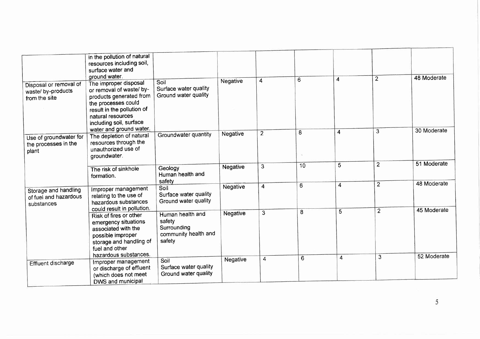|                                                               | in the pollution of natural<br>resources including soil,                                                                                |                                                                             |                 |                |    |                |                |             |
|---------------------------------------------------------------|-----------------------------------------------------------------------------------------------------------------------------------------|-----------------------------------------------------------------------------|-----------------|----------------|----|----------------|----------------|-------------|
|                                                               | surface water and<br>ground water.                                                                                                      |                                                                             |                 |                | 6  | 4              | $\overline{2}$ | 48 Moderate |
| Disposal or removal of<br>waste/ by-products<br>from the site | The improper disposal<br>or removal of waste/ by-<br>products generated from<br>the processes could                                     | Soil<br>Surface water quality<br>Ground water quality                       | Negative        | 4              |    |                |                |             |
|                                                               | result in the pollution of<br>natural resources<br>including soil, surface<br>water and ground water.                                   |                                                                             |                 |                |    |                |                | 30 Moderate |
| Use of groundwater for<br>the processes in the<br>plant       | The depletion of natural<br>resources through the<br>unauthorized use of<br>groundwater.                                                | Groundwater quantity                                                        | Negative        | $\overline{2}$ | 8  | 4              | $\overline{3}$ |             |
|                                                               | The risk of sinkhole<br>formation.                                                                                                      | Geology<br>Human health and<br>safety                                       | <b>Negative</b> | 3              | 10 | 5              | $\overline{2}$ | 51 Moderate |
| Storage and handling<br>of fuel and hazardous<br>substances   | Improper management<br>relating to the use of<br>hazardous substances<br>could result in pollution.                                     | Soil<br>Surface water quality<br>Ground water quality                       | Negative        | 4              | 6  | $\overline{4}$ | $\overline{2}$ | 48 Moderate |
|                                                               | Risk of fires or other<br>emergency situations<br>associated with the<br>possible improper<br>storage and handling of<br>fuel and other | Human health and<br>safety<br>Surrounding<br>community health and<br>safety | <b>Negative</b> | 3              | 8  | 5              | $\overline{2}$ | 45 Moderate |
| Effluent discharge                                            | hazardous substances.<br>Improper management<br>or discharge of effluent<br>(which does not meet<br>DWS and municipal                   | Soil<br>Surface water quality<br>Ground water quality                       | Negative        | 4              | 6  | 4              | 3              | 52 Moderate |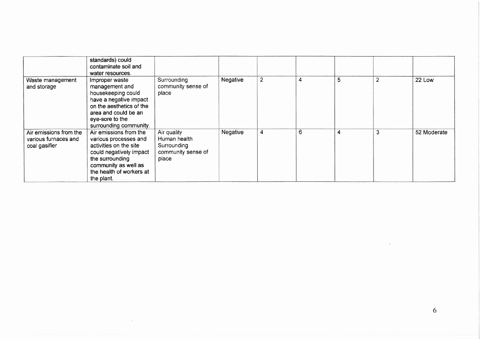|                                                                 | standards) could<br>contaminate soil and<br>water resources.                                                                                                                              |                                                                           |          |                |   |   |                |             |
|-----------------------------------------------------------------|-------------------------------------------------------------------------------------------------------------------------------------------------------------------------------------------|---------------------------------------------------------------------------|----------|----------------|---|---|----------------|-------------|
| Waste management<br>and storage                                 | Improper waste<br>management and<br>housekeeping could<br>have a negative impact<br>on the aesthetics of the<br>area and could be an<br>eye-sore to the<br>surrounding community.         | Surrounding<br>community sense of<br>place                                | Negative | $\overline{2}$ | 4 | 5 | $\overline{2}$ | 22 Low      |
| Air emissions from the<br>various furnaces and<br>coal gasifier | Air emissions from the<br>various processes and<br>activities on the site<br>could negatively impact<br>the surrounding<br>community as well as<br>the health of workers at<br>the plant. | Air quality<br>Human health<br>Surrounding<br>community sense of<br>place | Negative | 4              | 6 | 4 | 3              | 52 Moderate |

 $\mathcal{P}_\perp$ 

 $\tilde{\mathcal{A}}$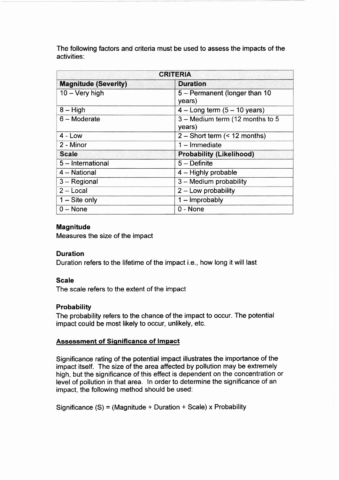The following factors and criteria must be used to assess the impacts of the activities:

| <b>CRITERIA</b>             |                                           |  |  |  |
|-----------------------------|-------------------------------------------|--|--|--|
| <b>Magnitude (Severity)</b> | <b>Duration</b>                           |  |  |  |
| $10 - \text{Very high}$     | 5 - Permanent (longer than 10<br>years)   |  |  |  |
| $8 - High$                  | $4 -$ Long term $(5 - 10$ years)          |  |  |  |
| $6 -$ Moderate              | 3 - Medium term (12 months to 5<br>years) |  |  |  |
| $4 - Low$                   | $2 -$ Short term (< 12 months)            |  |  |  |
| 2 - Minor                   | $1 -$ Immediate                           |  |  |  |
| <b>Scale</b>                | <b>Probability (Likelihood)</b>           |  |  |  |
| 5 - International           | $5 -$ Definite                            |  |  |  |
| 4 - National                | $4 -$ Highly probable                     |  |  |  |
| $3 - Regional$              | 3 - Medium probability                    |  |  |  |
| $2 - Local$                 | $2 -$ Low probability                     |  |  |  |
| $1 -$ Site only             | $1 -$ Improbably                          |  |  |  |
| $0 - None$                  | $0 - None$                                |  |  |  |

### Magnitude

Measures the size of the impact

#### **Duration**

Duration refers to the lifetime of the impact i.e., how long it will last

#### Scale

The scale refers to the extent of the impact

#### **Probability**

The probability refers to the chance of the impact to occur. The potential impact could be most likely to occur, unlikely, etc.

#### **Assessment of Significance of Impact**

Significance rating of the potential impact illustrates the importance of the impact itself. The size of the area affected by pollution may be extremely high, but the significance of this effect is dependent on the concentration or level of pollution in that area. ln order to determine the significance of an impact, the following method should be used:

Significance  $(S)$  = (Magnitude + Duration + Scale) x Probability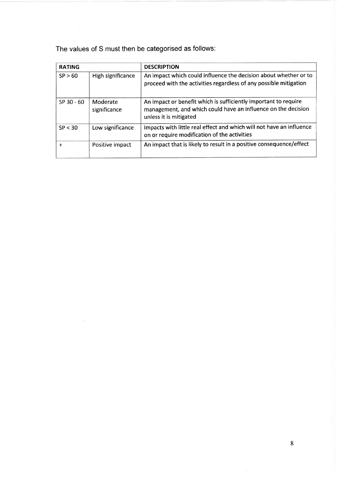The values of S must then be categorised as follows:

 $\bar{\nu}$ 

| <b>RATING</b> |                          | <b>DESCRIPTION</b>                                                                                                                                         |
|---------------|--------------------------|------------------------------------------------------------------------------------------------------------------------------------------------------------|
| SP > 60       | High significance        | An impact which could influence the decision about whether or to<br>proceed with the activities regardless of any possible mitigation                      |
| $SP$ 30 - 60  | Moderate<br>significance | An impact or benefit which is sufficiently important to require<br>management, and which could have an influence on the decision<br>unless it is mitigated |
| SP < 30       | Low significance         | Impacts with little real effect and which will not have an influence<br>on or require modification of the activities                                       |
| $+$           | Positive impact          | An impact that is likely to result in a positive consequence/effect                                                                                        |

ä